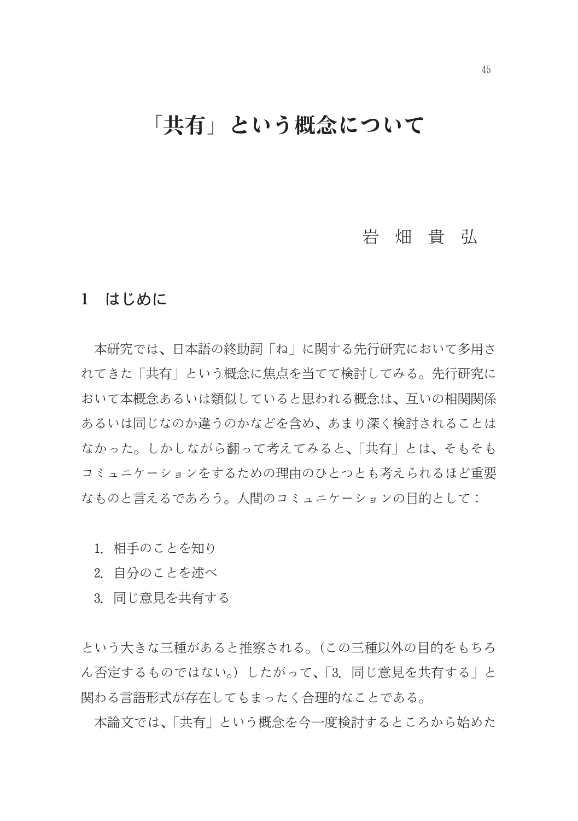# 「共有」という概念について

# 岩畑貴弘

### 1 はじめに

本研究では、日本語の終助詞「ね」に関する先行研究において多用さ れてきた「共有」という概念に焦点を当てて検討してみる。先行研究に おいて本概念あるいは類似していると思われる概念は、互いの相関関係 あるいは同じなのか違うのかなどを含め、あまり深く検討されることは なかった。しかしながら翻って考えてみると、「共有」とは、そもそも コミュニケーションをするための理由のひとつとも考えられるほど重要 なものと言えるであろう。人間のコミュニケーションの目的として:

- 1. 相手のことを知り
- 2. 自分のことを述べ
- 3. 同じ意見を共有する

という大きな三種があると推察される。(この三種以外の目的をもちろ ん否定するものではない。)したがって、「3. 同じ意見を共有する」と 関わる言語形式が存在してもまったく合理的なことである。

本論文では、「共有」という概念を今一度検討するところから始めた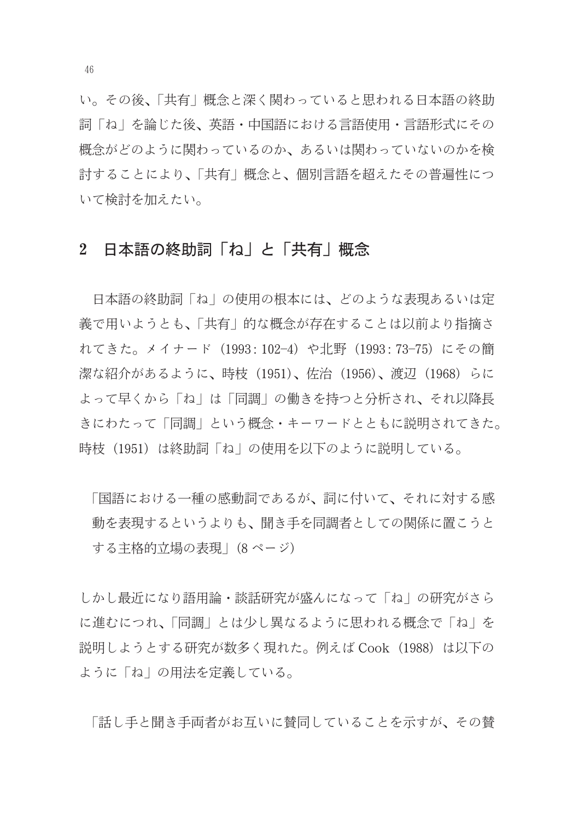い。その後、「共有 | 概念と深く関わっていると思われる日本語の終助 詞「ね」を論じた後、英語・中国語における言語使用・言語形式にその 概念がどのように関わっているのか、あるいは関わっていないのかを検 討することにより、「共有」概念と、個別言語を超えたその普遍性につ いて検討を加えたい。

# 2 日本語の終助詞「ね」と「共有」概念

日本語の終助詞「ね」の使用の根本には、どのような表現あるいは定 義で用いようとも、「共有」的な概念が存在することは以前より指摘さ れてきた。メイナード (1993:102-4) や北野 (1993:73-75) にその簡 |潔な紹介があるように、時枝(1951)、佐治(1956)、渡辺(1968)らに よって早くから「ね」は「同調」の働きを持つと分析され、それ以降長 きにわたって「同調」という概念・キーワードとともに説明されてきた。 時枝(1951)は終助詞「ね」の使用を以下のように説明している。

「国語における一種の感動詞であるが、詞に付いて、それに対する感 動を表現するというよりも、聞き手を同調者としての関係に置こうと する主格的立場の表現」(8 ページ)

しかし最近になり語用論・談話研究が盛んになって「ね」の研究がさら に進むにつれ、「同調」とは少し異なるように思われる概念で「ね」を 説明しようとする研究が数多く現れた。例えば Cook (1988) は以下の ように「ね」の用法を定義している。

「話し手と聞き手両者がお互いに替同していることを示すが、その替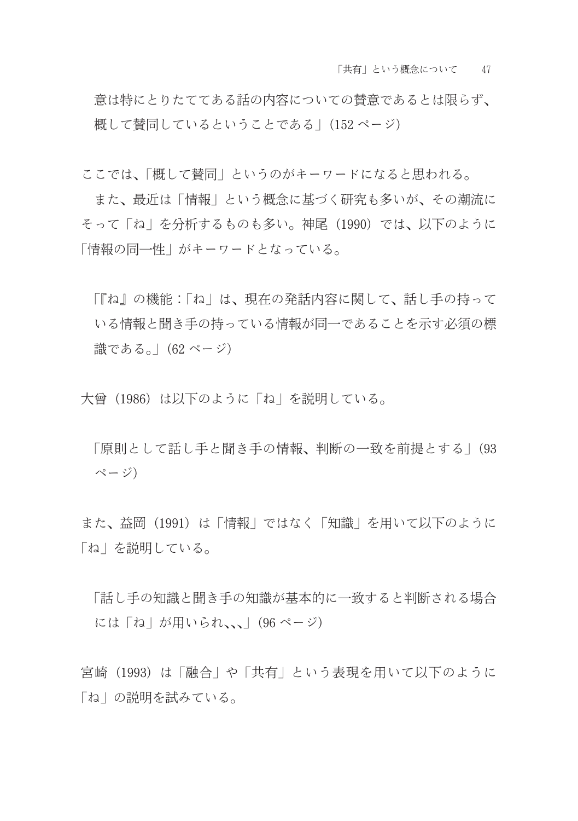意は特にとりたててある話の内容についての替意であるとは限らず、 概して替同しているということである| (152ページ)

ここでは、「概して替同」というのがキーワードになると思われる。

また、最近は「情報」という概念に基づく研究も多いが、その潮流に そって「ね」を分析するものも多い。神尾(1990)では、以下のように 「情報の同一性」がキーワードとなっている。

「『ね』の機能:「ね」は、現在の発話内容に関して、話し手の持って いる情報と聞き手の持っている情報が同一であることを示す必須の標 識である。| (62 ページ)

大曾 (1986) は以下のように「ね」を説明している。

「原則として話し手と聞き手の情報、判断の一致を前提とする」(93 ページ)

また、益岡 (1991) は「情報」ではなく「知識」を用いて以下のように 「ね」を説明している。

「話し手の知識と聞き手の知識が基本的に一致すると判断される場合 には「ね」が用いられ、、」(96ページ)

宮崎(1993)は「融合」や「共有」という表現を用いて以下のように 「ね」の説明を試みている。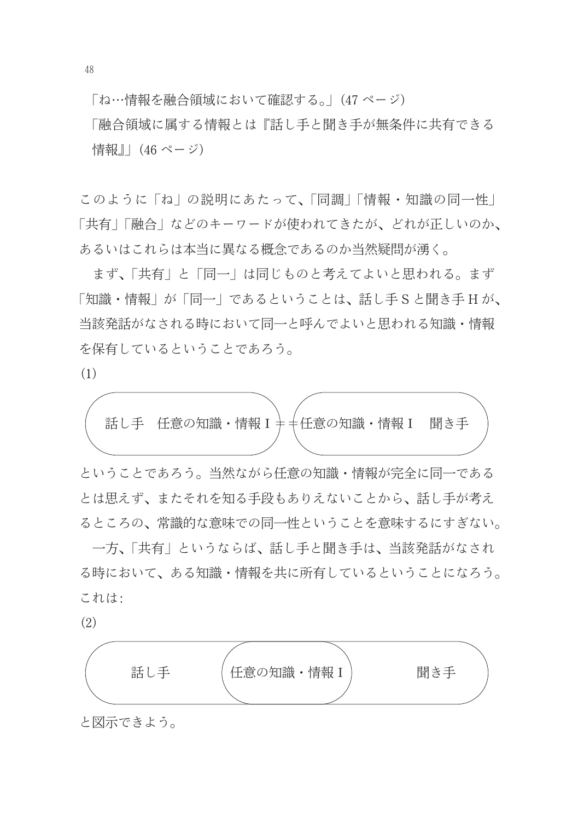「ね…情報を融合領域において確認する。」(47ページ)

「融合領域に属する情報とは『話し手と聞き手が無条件に共有できる 情報』| (46 ページ)

このように「ね」の説明にあたって、「同調」「情報・知識の同一性」 「共有」「融合」などのキーワードが使われてきたが、どれが正しいのか、 あるいはこれらは本当に異なる概念であるのか当然疑問が湧く。

まず、「共有」と「同一」は同じものと考えてよいと思われる。まず 「知識・情報」が「同一」であるということは、話し手Sと聞き手Hが、 当該発話がなされる時において同一と呼んでよいと思われる知識・情報 を保有しているということであろう。

 $(1)$ 



ということであろう。当然ながら任意の知識・情報が完全に同一である とは思えず、またそれを知る手段もありえないことから、話し手が考え るところの、常識的な意味での同一性ということを意味するにすぎない。

一方、「共有」というならば、話し手と聞き手は、当該発話がなされ る時において、ある知識・情報を共に所有しているということになろう。 これは:

 $(2)$ 



と図示できよう。

48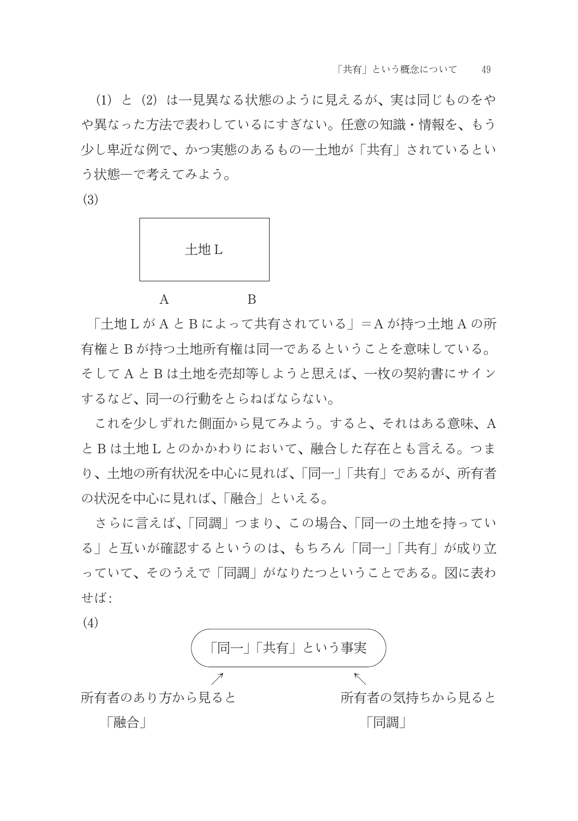(1) と (2) は一見異なる状態のように見えるが、実は同じものをや や異なった方法で表わしているにすぎない。任意の知識・情報を、もう 少し卑近な例で、かつ実熊のあるもの一十地が「共有」されているとい う状態ーで考えてみよう。

 $(3)$ 

| 土地L |  |
|-----|--|
|     |  |

「土地LがAとBによって共有されている」=Aが持つ土地Aの所 有権とBが持つ土地所有権は同一であるということを意味している。 そしてAとBは土地を売却等しようと思えば、一枚の契約書にサイン するなど、同一の行動をとらねばならない。

これを少しずれた側面から見てみよう。すると、それはある意味、A とBは土地Lとのかかわりにおいて、融合した存在とも言える。つま り、十地の所有状況を中心に見れば、「同一」「共有」であるが、所有者 の状況を中心に見れば、「融合」といえる。

さらに言えば、「同調」つまり、この場合、「同一の土地を持ってい る」と互いが確認するというのは、もちろん「同一」「共有」が成り立 っていて、そのうえで「同調」がなりたつということである。図に表わ せば:

 $(4)$ 

(4)

\n(
$$
\sqrt{\frac{1}{\sqrt{7}} - \frac{1}{4}}
$$
  $\frac{1}{\sqrt{7}}$ 

\n所有者のあり方から見ると

\n[้] 『配合』

\n[ $\frac{1}{\sqrt{7}}$  1

\n[ $\frac{1}{\sqrt{7}}$  1

\n[ $\frac{1}{\sqrt{7}}$  1

\n[ $\frac{1}{\sqrt{7}}$  1

\n[ $\frac{1}{\sqrt{7}}$  1

\n[ $\frac{1}{\sqrt{7}}$  1

\n[ $\frac{1}{\sqrt{7}}$  1

\n[ $\frac{1}{\sqrt{7}}$  1

\n[ $\frac{1}{\sqrt{7}}$  1

\n[ $\frac{1}{\sqrt{7}}$  1

\n[ $\frac{1}{\sqrt{7}}$  1

\n[ $\frac{1}{\sqrt{7}}$  1

\n[ $\frac{1}{\sqrt{7}}$  1

\n[ $\frac{1}{\sqrt{7}}$  1

\n[ $\frac{1}{\sqrt{7}}$  1

\n[ $\frac{1}{\sqrt{7}}$  1

\n[ $\frac{1}{\sqrt{7}}$  1

\n[ $\frac{1}{\sqrt{7}}$  1

\n[ $\frac{1}{\sqrt{7}}$  1

\n[ $\frac{1}{\sqrt{7}}$  1

\n[ $\frac{1}{\sqrt{7}}$  1

\n[ $\frac{1}{\sqrt{7}}$  1

\n[ $\frac{1}{\sqrt{7}}$  1

\n[ $\frac{1}{\sqrt{7}}$  1

\n[ $\frac{1}{\sqrt{7}}$  1

\n[ $\frac{1}{\sqrt{7}}$  1

\n[ $\frac{1}{\sqrt{7}}$  1

\n[ $\frac{1}{\sqrt{7}}$  1

\n[ $\frac{1}{\sqrt{7}}$  1

\n[ $\frac{1}{\sqrt{7}}$  1

\n[ $\frac{1}{\sqrt{7}}$  1

\n[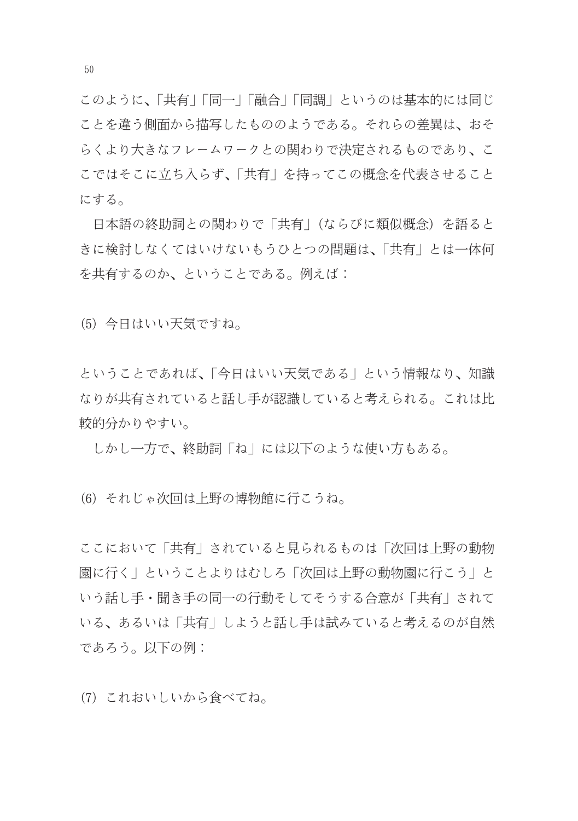このように、「共有|「同一|「融合|「同調」というのは基本的には同じ ことを違う側面から描写したもののようである。それらの差異は、おそ らくより大きなフレームワークとの関わりで決定されるものであり、こ こではそこに立ち入らず、「共有」を持ってこの概念を代表させること にする。

日本語の終助詞との関わりで「共有」(ならびに類似概念) を語ると きに検討しなくてはいけないもうひとつの問題は、「共有」とは一体何 を共有するのか、ということである。例えば:

(5) 今日はいい天気ですね。

ということであれば、「今日はいい天気である」という情報なり、知識 なりが共有されていると話し手が認識していると考えられる。これは比 較的分かりやすい。

しかし一方で、終助詞「ね」には以下のような使い方もある。

(6) それじゃ次回は上野の博物館に行こうね。

ここにおいて「共有」されていると見られるものは「次回は上野の動物 |園に行く | ということよりはむしろ 「次回は上野の動物園に行こう | と いう話し手・聞き手の同一の行動そしてそうする合意が「共有」されて いる、あるいは「共有」しようと話し手は試みていると考えるのが自然 であろう。以下の例:

(7) これおいしいから食べてね。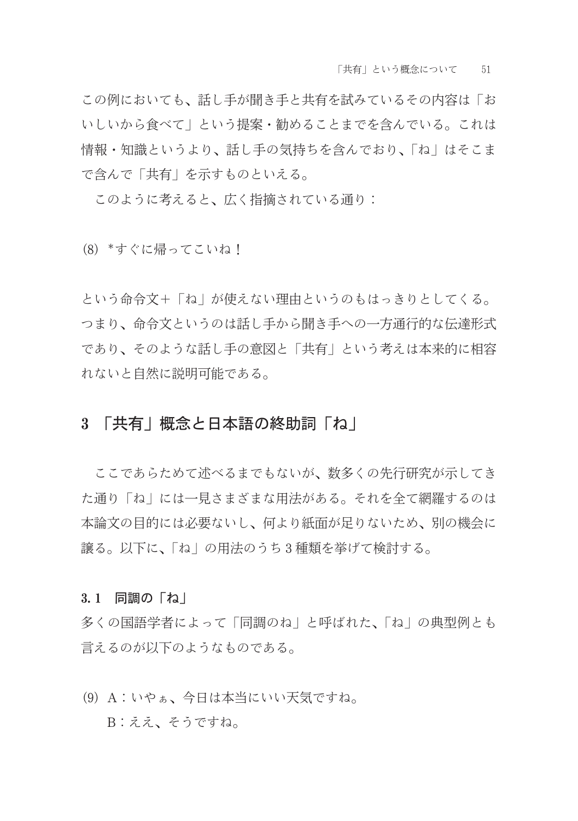この例においても、話し手が聞き手と共有を試みているその内容は「お いしいから食べて」という提案・勧めることまでを含んでいる。これは 情報・知識というより、話し手の気持ちを含んでおり、「ね」はそこま で含んで「共有」を示すものといえる。

このように考えると、広く指摘されている通り:

(8) \*すぐに帰ってこいね!

という命令文+「ね」が使えない理由というのもはっきりとしてくる。 つまり、命令文というのは話し手から聞き手への一方通行的な伝達形式 であり、そのような話し手の意図と「共有」という考えは本来的に相容 れないと自然に説明可能である。

# 3 「共有 | 概念と日本語の終助詞「ね |

ここであらためて述べるまでもないが、数多くの先行研究が示してき た通り「ね」には一見さまざまな用法がある。それを全て網羅するのは 本論文の目的には必要ないし、何より紙面が足りないため、別の機会に 譲る。以下に、「ね」の用法のうち3種類を挙げて検討する。

#### 3.1 同調の「ね」

多くの国語学者によって「同調のね」と呼ばれた、「ね」の典型例とも 言えるのが以下のようなものである。

(9) A:いやぁ、今日は本当にいい天気ですね。 B:ええ、そうですね。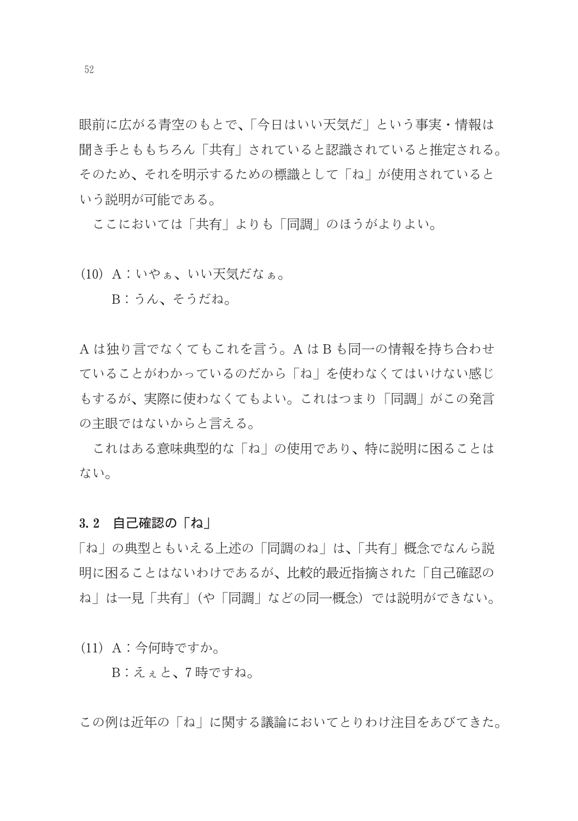眼前に広がる青空のもとで、「今日はいい天気だ」という事実・情報は 聞き手とももちろん「共有」されていると認識されていると推定される。 そのため、それを明示するための標識として「ね」が使用されていると いう説明が可能である。

ここにおいては「共有」よりも「同調」のほうがよりよい。

(10) A:いやぁ、いい天気だなぁ。

B:うん、そうだね。

A は独り言でなくてもこれを言う。A はB も同一の情報を持ち合わせ ていることがわかっているのだから「ね」を使わなくてはいけない感じ もするが、実際に使わなくてもよい。これはつまり「同調」がこの発言 の主眼ではないからと言える。

これはある意味典型的な「ね」の使用であり、特に説明に困ることは ない。

#### 3.2 自己確認の「ね」

「ね」の典型ともいえる上述の「同調のね」は、「共有」概念でなんら説 明に困ることはないわけであるが、比較的最近指摘された「自己確認の ね」は一見「共有」(や「同調」などの同一概念)では説明ができない。

(11) A: 今何時ですか。

B:えぇと、7時ですね。

この例は近年の「ね」に関する議論においてとりわけ注目をあびてきた。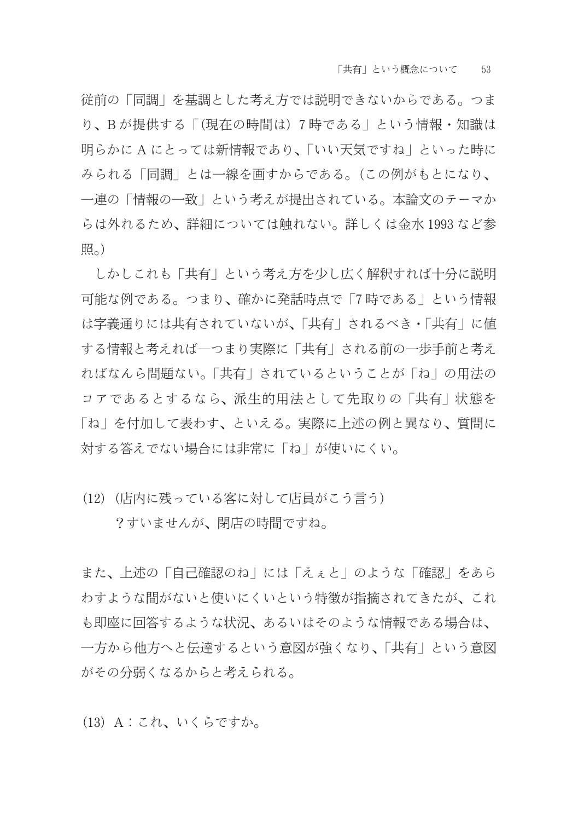従前の「同調」を基調とした考え方では説明できないからである。つま り、Bが提供する「(現在の時間は)7時である」という情報·知識は 明らかに A にとっては新情報であり、「いい天気ですね」といった時に みられる「同調」とは一線を画すからである。(この例がもとになり、 一連の「情報の一致」という考えが提出されている。本論文のテーマか らは外れるため、詳細については触れない。詳しくは金水1993など参 照。)

しかしこれも「共有」という考え方を少し広く解釈すれば十分に説明 可能な例である。つまり、確かに発話時点で「7時である」という情報 は字義通りには共有されていないが、「共有」されるべき・「共有」に値 する情報と考えれば一つまり実際に「共有」される前の一歩手前と考え ればなんら問題ない。「共有」されているということが「ね」の用法の コアであるとするなら、派生的用法として先取りの「共有」状態を 「ね」を付加して表わす、といえる。実際に上述の例と異なり、質問に 対する答えでない場合には非常に「ね」が使いにくい。

(12) (店内に残っている客に対して店員がこう言う)

?すいませんが、閉店の時間ですね。

また、上述の「自己確認のね」には「えぇと」のような「確認」をあら わすような間がないと使いにくいという特徴が指摘されてきたが、これ も即座に回答するような状況、あるいはそのような情報である場合は、 一方から他方へと伝達するという意図が強くなり、「共有」という意図 がその分弱くなるからと考えられる。

(13) A: これ、いくらですか。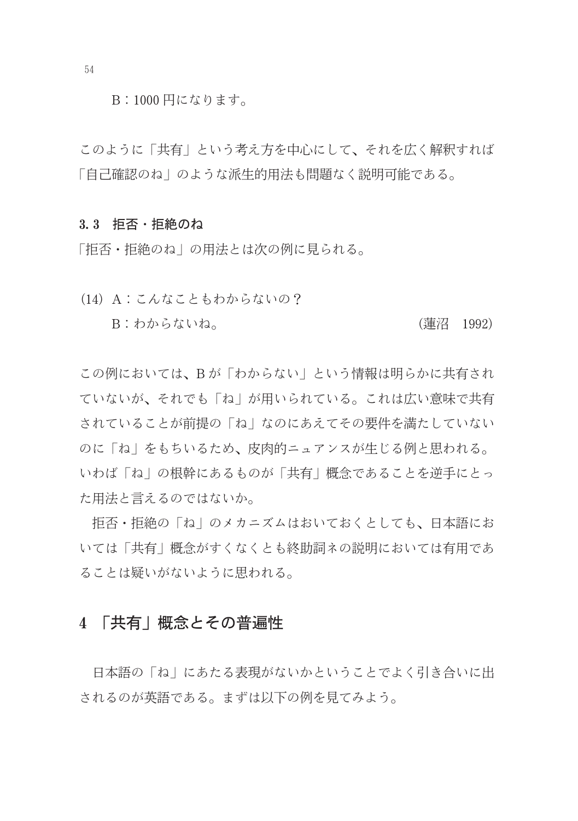B:1000円になります。

このように「共有」という考え方を中心にして、それを広く解釈すれば 「自己確認のね」のような派生的用法も問題なく説明可能である。

#### 3.3 拒否・拒絶のね

「拒否・拒絶のね」の用法とは次の例に見られる。

(14) A: こんなこともわからないの? B: わからないね。 (蓮沼 1992)

この例においては、Bが「わからない」という情報は明らかに共有され ていないが、それでも「ね」が用いられている。これは広い意味で共有 されていることが前提の「ね」なのにあえてその要件を満たしていない のに「ね」をもちいるため、皮肉的ニュアンスが生じる例と思われる。 いわば「ね」の根幹にあるものが「共有」概念であることを逆手にとっ た用法と言えるのではないか。

拒否・拒絶の「ね」のメカニズムはおいておくとしても、日本語にお いては「共有」概念がすくなくとも終助詞ネの説明においては有用であ ることは疑いがないように思われる。

## 4 「共有 | 概念とその普遍性

日本語の「ね」にあたる表現がないかということでよく引き合いに出 されるのが英語である。まずは以下の例を見てみよう。

54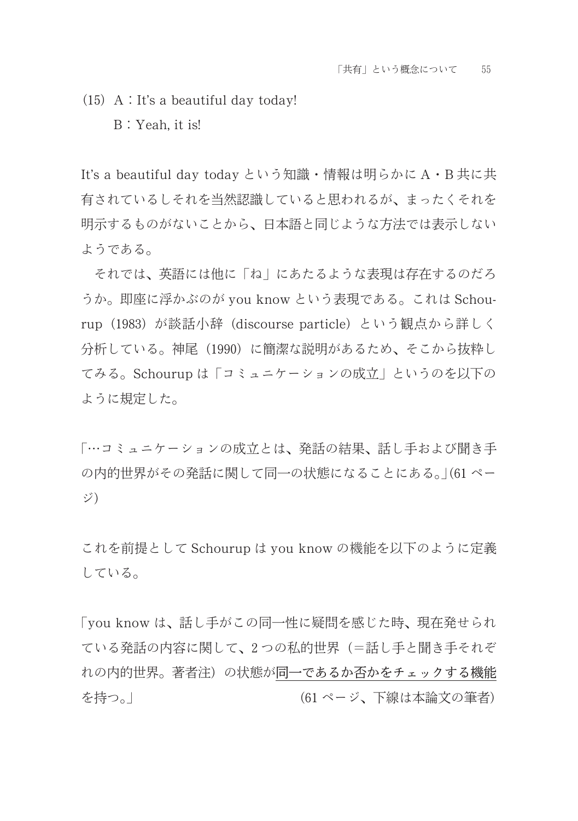$(15)$  A : It's a beautiful day today! B: Yeah. it is!

It's a beautiful day today という知識・情報は明らかに A・B 共に共 有されているしそれを当然認識していると思われるが、まったくそれを 明示するものがないことから、日本語と同じような方法では表示しない ようである。

それでは、英語には他に「ね」にあたるような表現は存在するのだろ うか。即座に浮かぶのが you know という表現である。これは Schourup (1983) が談話小辞 (discourse particle) という観点から詳しく 分析している。神尾 (1990) に簡潔な説明があるため、そこから抜粋し てみる。Schourup は「コミュニケーションの成立」というのを以下の ように規定した。

「…コミュニケーションの成立とは、発話の結果、話し手および聞き手 の内的世界がその発話に関して同一の状態になることにある。|(61ペー ジ)

これを前提として Schourup は vou know の機能を以下のように定義 している。

「vou know は、話し手がこの同一性に疑問を感じた時、現在発せられ ている発話の内容に関して、2つの私的世界(=話し手と聞き手それぞ れの内的世界。著者注)の状態が同一であるか否かをチェックする機能 (61ページ、下線は本論文の筆者) を持つ。|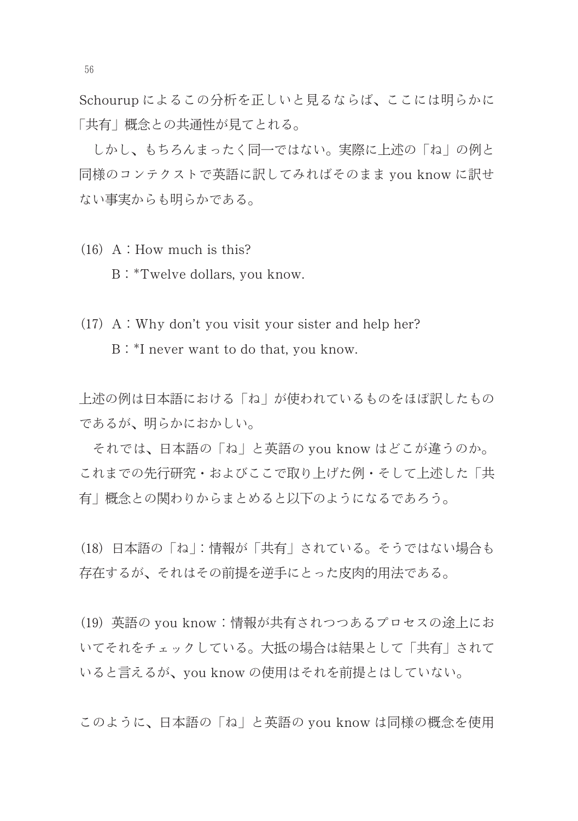Schourup によるこの分析を正しいと見るならば、ここには明らかに 「共有」概念との共通性が見てとれる。

しかし、もちろんまったく同一ではない。実際に上述の「ね」の例と 同様のコンテクストで英語に訳してみればそのまま you know に訳せ ない事実からも明らかである。

- $(16)$  A : How much is this? B: \*Twelve dollars, you know.
- $(17)$  A : Why don't you visit your sister and help her? B: \*I never want to do that, you know.

上述の例は日本語における「ね」が使われているものをほぼ訳したもの であるが、明らかにおかしい。

それでは、日本語の「ね」と英語の you know はどこが違うのか。 これまでの先行研究・およびここで取り上げた例・そして上述した「共 有」概念との関わりからまとめると以下のようになるであろう。

(18)日本語の「ね」:情報が「共有」されている。そうではない場合も 存在するが、それはその前提を逆手にとった皮肉的用法である。

(19) 英語の you know:情報が共有されつつあるプロセスの途上にお いてそれをチェックしている。大抵の場合は結果として「共有」されて いると言えるが、you know の使用はそれを前提とはしていない。

このように、日本語の「ね」と英語の vou know は同様の概念を使用

56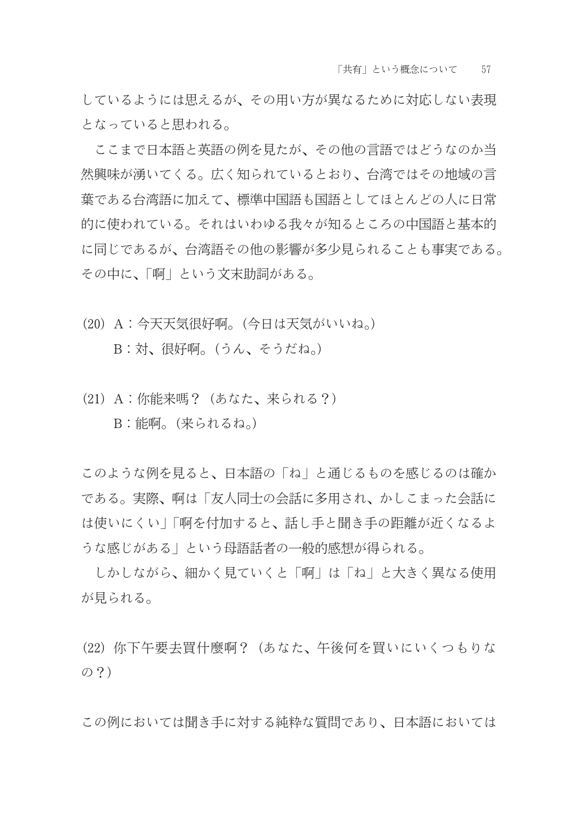しているようには思えるが、その用い方が異なるために対応しない表現 となっていると思われる。

ここまで日本語と英語の例を見たが、その他の言語ではどうなのか当 然興味が湧いてくる。広く知られているとおり、台湾ではその地域の言 葉である台湾語に加えて、標準中国語も国語としてほとんどの人に日常 的に使われている。それはいわゆる我々が知るところの中国語と基本的 に同じであるが、台湾語その他の影響が多少見られることも事実である。 その中に、「啊」という文末助詞がある。

(20) A: 今天天気很好啊。(今日は天気がいいね。)

B:対、很好啊。(うん、そうだね。)

(21) A: 你能来嗎? (あなた、来られる?) B:能啊。(来られるね。)

このような例を見ると、日本語の「ね」と通じるものを感じるのは確か である。実際、啊は「友人同士の会話に多用され、かしこまった会話に は使いにくい|「啊を付加すると、話し手と聞き手の距離が近くなるよ うな感じがある」という母語話者の一般的感想が得られる。

しかしながら、細かく見ていくと「啊」は「ね」と大きく異なる使用 が見られる。

(22) 你下午要去買什麼啊?(あなた、午後何を買いにいくつもりな  $\oslash$  ?)

この例においては聞き手に対する純粋な質問であり、日本語においては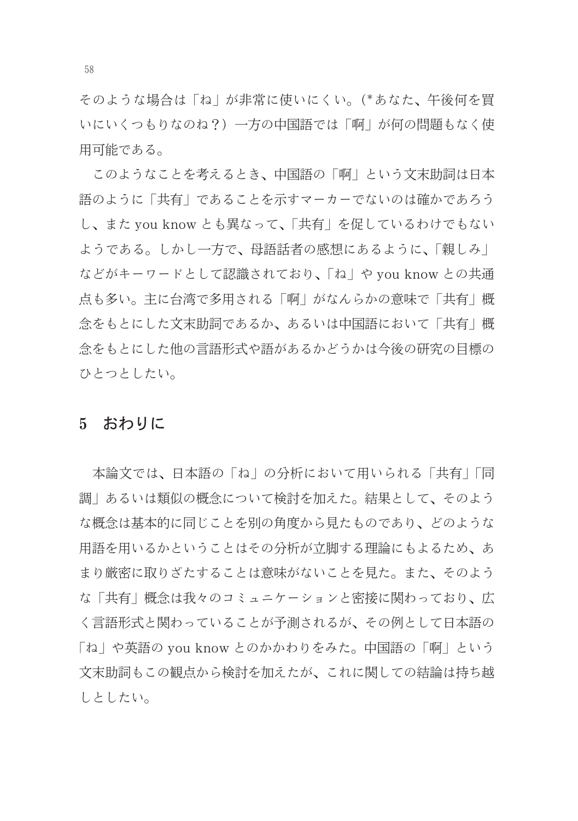そのような場合は「ね」が非常に使いにくい。(\*あなた、午後何を買 いにいくつもりなのね?) 一方の中国語では「啊」が何の問題もなく使 用可能である。

このようなことを考えるとき、中国語の「啊」という文末助詞は日本 語のように「共有」であることを示すマーカーでないのは確かであろう し、また vou know とも異なって、「共有」を促しているわけでもない ようである。しかし一方で、母語話者の感想にあるように、「親しみ」 などがキーワードとして認識されており、「ね」や you know との共通 点も多い。主に台湾で多用される「啊」がなんらかの意味で「共有」概 念をもとにした文末助詞であるか、あるいは中国語において「共有」概 念をもとにした他の言語形式や語があるかどうかは今後の研究の目標の ひとつとしたい。

## 5 おわりに

本論文では、日本語の「ね」の分析において用いられる「共有」「同 調|あるいは類似の概念について検討を加えた。結果として、そのよう な概念は基本的に同じことを別の角度から見たものであり、どのような 用語を用いるかということはその分析が立脚する理論にもよるため、あ まり厳密に取りざたすることは意味がないことを見た。また、そのよう な「共有」概念は我々のコミュニケーションと密接に関わっており、広 く言語形式と関わっていることが予測されるが、その例として日本語の 「ね」や英語の you know とのかかわりをみた。中国語の「啊」という 文末助詞もこの観点から検討を加えたが、これに関しての結論は持ち越 しとしたい。